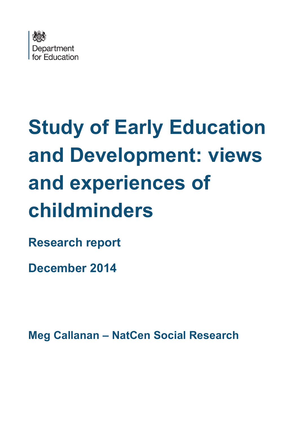

# **Study of Early Education and Development: views and experiences of childminders**

**Research report** 

**December 2014**

**Meg Callanan – NatCen Social Research**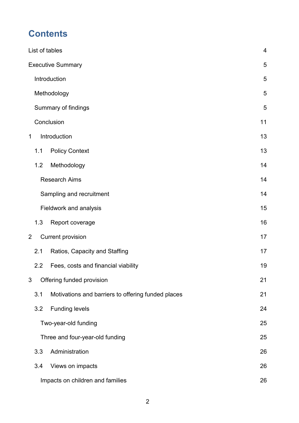# **Contents**

| List of tables |                          |                                                    |    |  |
|----------------|--------------------------|----------------------------------------------------|----|--|
|                |                          | <b>Executive Summary</b>                           | 5  |  |
|                | Introduction             |                                                    | 5  |  |
|                |                          | Methodology                                        | 5  |  |
|                |                          | Summary of findings                                | 5  |  |
|                |                          | Conclusion                                         | 11 |  |
| 1              |                          | Introduction                                       | 13 |  |
|                | 1.1                      | <b>Policy Context</b>                              | 13 |  |
|                | 1.2                      | Methodology                                        | 14 |  |
|                |                          | <b>Research Aims</b>                               | 14 |  |
|                |                          | Sampling and recruitment                           | 14 |  |
|                |                          | Fieldwork and analysis                             | 15 |  |
|                | 1.3                      | Report coverage                                    | 16 |  |
| $\overline{2}$ | <b>Current provision</b> |                                                    | 17 |  |
|                | 2.1                      | Ratios, Capacity and Staffing                      | 17 |  |
|                | $2.2\phantom{0}$         | Fees, costs and financial viability                | 19 |  |
| 3              |                          | Offering funded provision                          | 21 |  |
|                | 3.1                      | Motivations and barriers to offering funded places | 21 |  |
|                | 3.2                      | <b>Funding levels</b>                              | 24 |  |
|                |                          | Two-year-old funding                               | 25 |  |
|                |                          | Three and four-year-old funding                    | 25 |  |
|                | 3.3                      | Administration                                     | 26 |  |
|                | 3.4                      | Views on impacts                                   | 26 |  |
|                |                          | Impacts on children and families                   | 26 |  |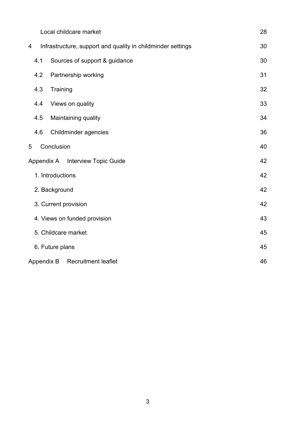|                                          | Local childcare market                                      | 28 |  |  |
|------------------------------------------|-------------------------------------------------------------|----|--|--|
| 4                                        | Infrastructure, support and quality in childminder settings | 30 |  |  |
| 4.1                                      | Sources of support & guidance                               | 30 |  |  |
| 4.2                                      | Partnership working                                         | 31 |  |  |
| 4.3                                      | Training                                                    | 32 |  |  |
| 4.4                                      | Views on quality                                            | 33 |  |  |
| 4.5                                      | Maintaining quality                                         | 34 |  |  |
| 4.6                                      | Childminder agencies                                        | 36 |  |  |
| 5                                        | Conclusion                                                  | 40 |  |  |
| Appendix A Interview Topic Guide         |                                                             |    |  |  |
| 1. Introductions                         |                                                             |    |  |  |
|                                          | 2. Background                                               | 42 |  |  |
| 3. Current provision                     | 42                                                          |    |  |  |
|                                          | 4. Views on funded provision                                | 43 |  |  |
|                                          | 5. Childcare market                                         | 45 |  |  |
|                                          | 6. Future plans                                             |    |  |  |
| Appendix B<br><b>Recruitment leaflet</b> |                                                             |    |  |  |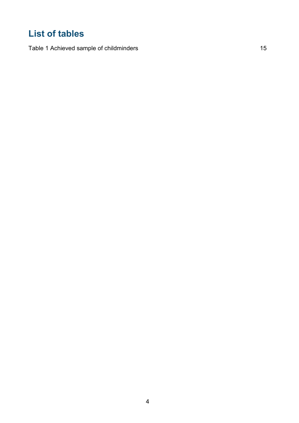# <span id="page-3-0"></span>**List of tables**

[Table 1 Achieved sample of childminders](#page-13-3) 15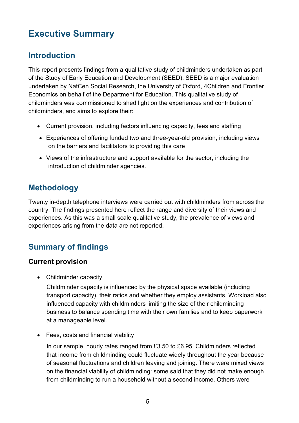# <span id="page-4-0"></span>**Executive Summary**

## <span id="page-4-1"></span>**Introduction**

This report presents findings from a qualitative study of childminders undertaken as part of the Study of Early Education and Development (SEED). SEED is a major evaluation undertaken by NatCen Social Research, the University of Oxford, 4Children and Frontier Economics on behalf of the Department for Education. This qualitative study of childminders was commissioned to shed light on the experiences and contribution of childminders, and aims to explore their:

- Current provision, including factors influencing capacity, fees and staffing
- Experiences of offering funded two and three-year-old provision, including views on the barriers and facilitators to providing this care
- Views of the infrastructure and support available for the sector, including the introduction of childminder agencies.

# <span id="page-4-2"></span>**Methodology**

Twenty in-depth telephone interviews were carried out with childminders from across the country. The findings presented here reflect the range and diversity of their views and experiences. As this was a small scale qualitative study, the prevalence of views and experiences arising from the data are not reported.

# <span id="page-4-3"></span>**Summary of findings**

## **Current provision**

• Childminder capacity

Childminder capacity is influenced by the physical space available (including transport capacity), their ratios and whether they employ assistants. Workload also influenced capacity with childminders limiting the size of their childminding business to balance spending time with their own families and to keep paperwork at a manageable level.

• Fees, costs and financial viability

In our sample, hourly rates ranged from £3.50 to £6.95. Childminders reflected that income from childminding could fluctuate widely throughout the year because of seasonal fluctuations and children leaving and joining. There were mixed views on the financial viability of childminding: some said that they did not make enough from childminding to run a household without a second income. Others were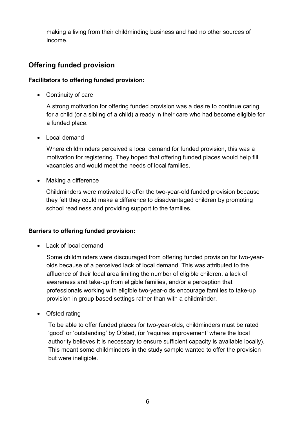making a living from their childminding business and had no other sources of income.

## **Offering funded provision**

#### **Facilitators to offering funded provision:**

• Continuity of care

A strong motivation for offering funded provision was a desire to continue caring for a child (or a sibling of a child) already in their care who had become eligible for a funded place.

• Local demand

Where childminders perceived a local demand for funded provision, this was a motivation for registering. They hoped that offering funded places would help fill vacancies and would meet the needs of local families.

• Making a difference

Childminders were motivated to offer the two-year-old funded provision because they felt they could make a difference to disadvantaged children by promoting school readiness and providing support to the families.

## **Barriers to offering funded provision:**

• Lack of local demand

Some childminders were discouraged from offering funded provision for two-yearolds because of a perceived lack of local demand. This was attributed to the affluence of their local area limiting the number of eligible children, a lack of awareness and take-up from eligible families, and/or a perception that professionals working with eligible two-year-olds encourage families to take-up provision in group based settings rather than with a childminder.

• Ofsted rating

To be able to offer funded places for two-year-olds, childminders must be rated 'good' or 'outstanding' by Ofsted, (or 'requires improvement' where the local authority believes it is necessary to ensure sufficient capacity is available locally). This meant some childminders in the study sample wanted to offer the provision but were ineligible.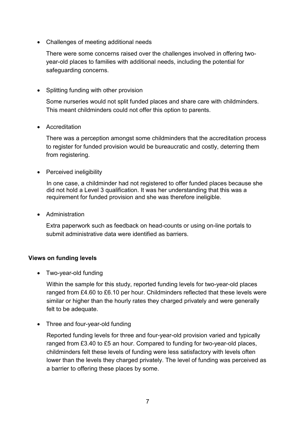• Challenges of meeting additional needs

There were some concerns raised over the challenges involved in offering twoyear-old places to families with additional needs, including the potential for safeguarding concerns.

• Splitting funding with other provision

Some nurseries would not split funded places and share care with childminders. This meant childminders could not offer this option to parents.

• Accreditation

There was a perception amongst some childminders that the accreditation process to register for funded provision would be bureaucratic and costly, deterring them from registering.

• Perceived ineligibility

In one case, a childminder had not registered to offer funded places because she did not hold a Level 3 qualification. It was her understanding that this was a requirement for funded provision and she was therefore ineligible.

• Administration

Extra paperwork such as feedback on head-counts or using on-line portals to submit administrative data were identified as barriers.

#### **Views on funding levels**

• Two-year-old funding

Within the sample for this study, reported funding levels for two-year-old places ranged from £4.60 to £6.10 per hour. Childminders reflected that these levels were similar or higher than the hourly rates they charged privately and were generally felt to be adequate.

• Three and four-year-old funding

Reported funding levels for three and four-year-old provision varied and typically ranged from £3.40 to £5 an hour. Compared to funding for two-year-old places, childminders felt these levels of funding were less satisfactory with levels often lower than the levels they charged privately. The level of funding was perceived as a barrier to offering these places by some.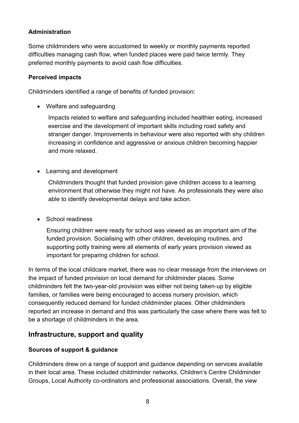## **Administration**

Some childminders who were accustomed to weekly or monthly payments reported difficulties managing cash flow, when funded places were paid twice termly. They preferred monthly payments to avoid cash flow difficulties.

## **Perceived impacts**

Childminders identified a range of benefits of funded provision:

• Welfare and safeguarding

Impacts related to welfare and safeguarding included healthier eating, increased exercise and the development of important skills including road safety and stranger danger. Improvements in behaviour were also reported with shy children increasing in confidence and aggressive or anxious children becoming happier and more relaxed.

• Learning and development

Childminders thought that funded provision gave children access to a learning environment that otherwise they might not have. As professionals they were also able to identify developmental delays and take action.

• School readiness

Ensuring children were ready for school was viewed as an important aim of the funded provision. Socialising with other children, developing routines, and supporting potty training were all elements of early years provision viewed as important for preparing children for school.

In terms of the local childcare market, there was no clear message from the interviews on the impact of funded provision on local demand for childminder places. Some childminders felt the two-year-old provision was either not being taken-up by eligible families, or families were being encouraged to access nursery provision, which consequently reduced demand for funded childminder places. Other childminders reported an increase in demand and this was particularly the case where there was felt to be a shortage of childminders in the area.

## **Infrastructure, support and quality**

## **Sources of support & guidance**

Childminders drew on a range of support and guidance depending on services available in their local area. These included childminder networks, Children's Centre Childminder Groups, Local Authority co-ordinators and professional associations. Overall, the view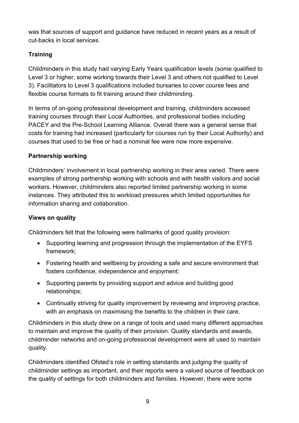was that sources of support and guidance have reduced in recent years as a result of cut-backs in local services.

## **Training**

Childminders in this study had varying Early Years qualification levels (some qualified to Level 3 or higher, some working towards their Level 3 and others not qualified to Level 3). Facilitators to Level 3 qualifications included bursaries to cover course fees and flexible course formats to fit training around their childminding.

In terms of on-going professional development and training, childminders accessed training courses through their Local Authorities, and professional bodies including PACEY and the Pre-School Learning Alliance. Overall there was a general sense that costs for training had increased (particularly for courses run by their Local Authority) and courses that used to be free or had a nominal fee were now more expensive.

## **Partnership working**

Childminders' involvement in local partnership working in their area varied. There were examples of strong partnership working with schools and with health visitors and social workers. However, childminders also reported limited partnership working in some instances. They attributed this to workload pressures which limited opportunities for information sharing and collaboration.

## **Views on quality**

Childminders felt that the following were hallmarks of good quality provision:

- Supporting learning and progression through the implementation of the EYFS framework;
- Fostering health and wellbeing by providing a safe and secure environment that fosters confidence, independence and enjoyment;
- Supporting parents by providing support and advice and building good relationships;
- Continually striving for quality improvement by reviewing and improving practice, with an emphasis on maximising the benefits to the children in their care.

Childminders in this study drew on a range of tools and used many different approaches to maintain and improve the quality of their provision. Quality standards and awards, childminder networks and on-going professional development were all used to maintain quality.

Childminders identified Ofsted's role in setting standards and judging the quality of childminder settings as important, and their reports were a valued source of feedback on the quality of settings for both childminders and families. However, there were some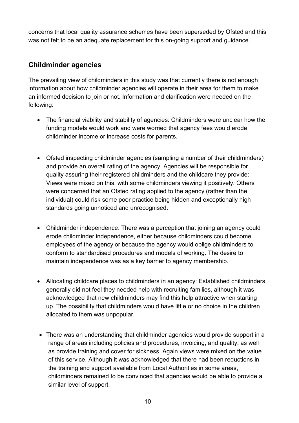concerns that local quality assurance schemes have been superseded by Ofsted and this was not felt to be an adequate replacement for this on-going support and guidance.

## **Childminder agencies**

The prevailing view of childminders in this study was that currently there is not enough information about how childminder agencies will operate in their area for them to make an informed decision to join or not. Information and clarification were needed on the following:

- The financial viability and stability of agencies: Childminders were unclear how the funding models would work and were worried that agency fees would erode childminder income or increase costs for parents.
- Ofsted inspecting childminder agencies (sampling a number of their childminders) and provide an overall rating of the agency. Agencies will be responsible for quality assuring their registered childminders and the childcare they provide: Views were mixed on this, with some childminders viewing it positively. Others were concerned that an Ofsted rating applied to the agency (rather than the individual) could risk some poor practice being hidden and exceptionally high standards going unnoticed and unrecognised.
- Childminder independence: There was a perception that joining an agency could erode childminder independence, either because childminders could become employees of the agency or because the agency would oblige childminders to conform to standardised procedures and models of working. The desire to maintain independence was as a key barrier to agency membership.
- Allocating childcare places to childminders in an agency: Established childminders generally did not feel they needed help with recruiting families, although it was acknowledged that new childminders may find this help attractive when starting up. The possibility that childminders would have little or no choice in the children allocated to them was unpopular.
- There was an understanding that childminder agencies would provide support in a range of areas including policies and procedures, invoicing, and quality, as well as provide training and cover for sickness. Again views were mixed on the value of this service. Although it was acknowledged that there had been reductions in the training and support available from Local Authorities in some areas, childminders remained to be convinced that agencies would be able to provide a similar level of support.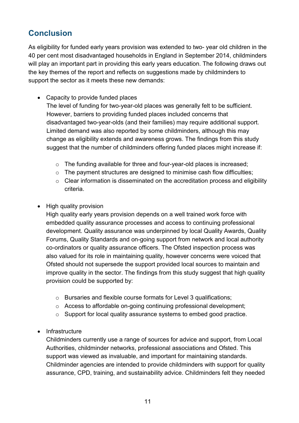# <span id="page-10-0"></span>**Conclusion**

As eligibility for funded early years provision was extended to two- year old children in the 40 per cent most disadvantaged households in England in September 2014, childminders will play an important part in providing this early years education. The following draws out the key themes of the report and reflects on suggestions made by childminders to support the sector as it meets these new demands:

• Capacity to provide funded places

The level of funding for two-year-old places was generally felt to be sufficient. However, barriers to providing funded places included concerns that disadvantaged two-year-olds (and their families) may require additional support. Limited demand was also reported by some childminders, although this may change as eligibility extends and awareness grows. The findings from this study suggest that the number of childminders offering funded places might increase if:

- o The funding available for three and four-year-old places is increased;
- o The payment structures are designed to minimise cash flow difficulties;
- o Clear information is disseminated on the accreditation process and eligibility criteria.
- High quality provision

High quality early years provision depends on a well trained work force with embedded quality assurance processes and access to continuing professional development. Quality assurance was underpinned by local Quality Awards, Quality Forums, Quality Standards and on-going support from network and local authority co-ordinators or quality assurance officers. The Ofsted inspection process was also valued for its role in maintaining quality, however concerns were voiced that Ofsted should not supersede the support provided local sources to maintain and improve quality in the sector. The findings from this study suggest that high quality provision could be supported by:

- o Bursaries and flexible course formats for Level 3 qualifications;
- o Access to affordable on-going continuing professional development;
- o Support for local quality assurance systems to embed good practice.
- Infrastructure

Childminders currently use a range of sources for advice and support, from Local Authorities, childminder networks, professional associations and Ofsted. This support was viewed as invaluable, and important for maintaining standards. Childminder agencies are intended to provide childminders with support for quality assurance, CPD, training, and sustainability advice. Childminders felt they needed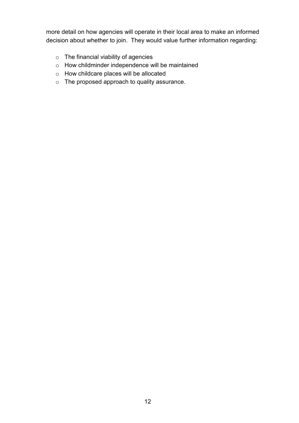more detail on how agencies will operate in their local area to make an informed decision about whether to join. They would value further information regarding:

- o The financial viability of agencies
- o How childminder independence will be maintained
- o How childcare places will be allocated
- o The proposed approach to quality assurance.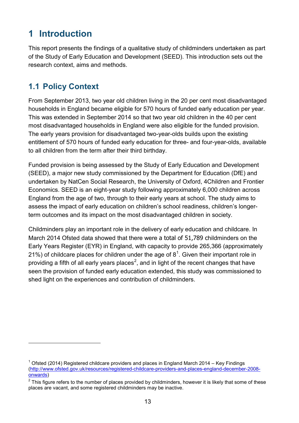# <span id="page-12-0"></span>**1 Introduction**

This report presents the findings of a qualitative study of childminders undertaken as part of the Study of Early Education and Development (SEED). This introduction sets out the research context, aims and methods.

# <span id="page-12-1"></span>**1.1 Policy Context**

-

From September 2013, two year old children living in the 20 per cent most disadvantaged households in England became eligible for 570 hours of funded early education per year. This was extended in September 2014 so that two year old children in the 40 per cent most disadvantaged households in England were also eligible for the funded provision. The early years provision for disadvantaged two-year-olds builds upon the existing entitlement of 570 hours of funded early education for three- and four-year-olds, available to all children from the term after their third birthday.

Funded provision is being assessed by the Study of Early Education and Development (SEED), a major new study commissioned by the Department for Education (DfE) and undertaken by NatCen Social Research, the University of Oxford, 4Children and Frontier Economics. SEED is an eight-year study following approximately 6,000 children across England from the age of two, through to their early years at school. The study aims to assess the impact of early education on children's school readiness, children's longerterm outcomes and its impact on the most disadvantaged children in society.

Childminders play an important role in the delivery of early education and childcare. In March 2014 Ofsted data showed that there were a total of 51,789 childminders on the Early Years Register (EYR) in England, with capacity to provide 265,366 (approximately 2[1](#page-12-2)%) of childcare places for children under the age of  $8^1$ . Given their important role in providing a fifth of all early years places<sup>[2](#page-12-3)</sup>, and in light of the recent changes that have seen the provision of funded early education extended, this study was commissioned to shed light on the experiences and contribution of childminders.

<span id="page-12-2"></span> $1$  Ofsted (2014) Registered childcare providers and places in England March 2014 – Key Findings [\(http://www.ofsted.gov.uk/resources/registered-childcare-providers-and-places-england-december-2008](http://www.ofsted.gov.uk/resources/registered-childcare-providers-and-places-england-december-2008-onwards) [onwards\)](http://www.ofsted.gov.uk/resources/registered-childcare-providers-and-places-england-december-2008-onwards)

<span id="page-12-3"></span> $2$  This figure refers to the number of places provided by childminders, however it is likely that some of these places are vacant, and some registered childminders may be inactive.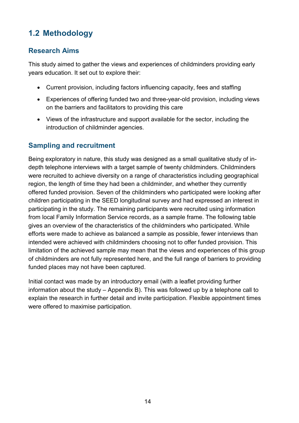# <span id="page-13-0"></span>**1.2 Methodology**

## <span id="page-13-1"></span>**Research Aims**

This study aimed to gather the views and experiences of childminders providing early years education. It set out to explore their:

- Current provision, including factors influencing capacity, fees and staffing
- Experiences of offering funded two and three-year-old provision, including views on the barriers and facilitators to providing this care
- Views of the infrastructure and support available for the sector, including the introduction of childminder agencies.

## <span id="page-13-2"></span>**Sampling and recruitment**

Being exploratory in nature, this study was designed as a small qualitative study of indepth telephone interviews with a target sample of twenty childminders. Childminders were recruited to achieve diversity on a range of characteristics including geographical region, the length of time they had been a childminder, and whether they currently offered funded provision. Seven of the childminders who participated were looking after children participating in the SEED longitudinal survey and had expressed an interest in participating in the study. The remaining participants were recruited using information from local Family Information Service records, as a sample frame. The following table gives an overview of the characteristics of the childminders who participated. While efforts were made to achieve as balanced a sample as possible, fewer interviews than intended were achieved with childminders choosing not to offer funded provision. This limitation of the achieved sample may mean that the views and experiences of this group of childminders are not fully represented here, and the full range of barriers to providing funded places may not have been captured.

<span id="page-13-3"></span>Initial contact was made by an introductory email (with a leaflet providing further information about the study – Appendix B). This was followed up by a telephone call to explain the research in further detail and invite participation. Flexible appointment times were offered to maximise participation.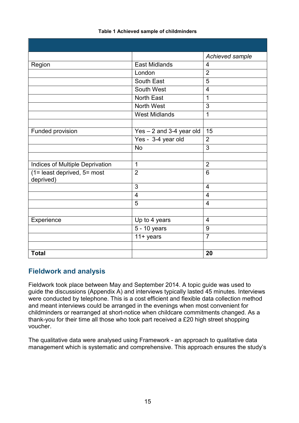|                                                         |                            | Achieved sample         |
|---------------------------------------------------------|----------------------------|-------------------------|
| Region                                                  | <b>East Midlands</b>       | 4                       |
|                                                         | London                     | $\overline{2}$          |
|                                                         | South East                 | $\overline{5}$          |
|                                                         | South West                 | $\overline{4}$          |
|                                                         | <b>North East</b>          | $\mathbf{1}$            |
|                                                         | North West                 | $\overline{3}$          |
|                                                         | <b>West Midlands</b>       | $\mathbf{1}$            |
|                                                         |                            |                         |
| Funded provision                                        | $Yes - 2$ and 3-4 year old | 15                      |
|                                                         | Yes - 3-4 year old         | $\overline{2}$          |
|                                                         | <b>No</b>                  | $\overline{3}$          |
|                                                         |                            |                         |
| Indices of Multiple Deprivation                         | 1                          | $\overline{2}$          |
| $\overline{1}$ (1= least deprived, 5= most<br>deprived) | $\overline{2}$             | $6\phantom{1}$          |
|                                                         | 3                          | $\overline{4}$          |
|                                                         | $\overline{4}$             | $\overline{\mathbf{4}}$ |
|                                                         | 5                          | 4                       |
|                                                         |                            |                         |
| Experience                                              | Up to 4 years              | 4                       |
|                                                         | 5 - 10 years               | 9                       |
|                                                         | $11 + years$               | $\overline{7}$          |
|                                                         |                            |                         |
| <b>Total</b>                                            |                            | 20                      |

#### **Table 1 Achieved sample of childminders**

## <span id="page-14-0"></span>**Fieldwork and analysis**

Fieldwork took place between May and September 2014. A topic guide was used to guide the discussions (Appendix A) and interviews typically lasted 45 minutes. Interviews were conducted by telephone. This is a cost efficient and flexible data collection method and meant interviews could be arranged in the evenings when most convenient for childminders or rearranged at short-notice when childcare commitments changed. As a thank-you for their time all those who took part received a £20 high street shopping voucher.

The qualitative data were analysed using Framework - an approach to qualitative data management which is systematic and comprehensive. This approach ensures the study's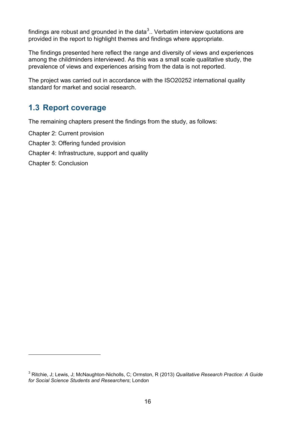findings are robust and grounded in the data<sup>[3](#page-15-1)</sup>.. Verbatim interview quotations are provided in the report to highlight themes and findings where appropriate.

The findings presented here reflect the range and diversity of views and experiences among the childminders interviewed. As this was a small scale qualitative study, the prevalence of views and experiences arising from the data is not reported.

The project was carried out in accordance with the ISO20252 international quality standard for market and social research.

# <span id="page-15-0"></span>**1.3 Report coverage**

The remaining chapters present the findings from the study, as follows:

Chapter 2: Current provision

- Chapter 3: Offering funded provision
- Chapter 4: Infrastructure, support and quality
- Chapter 5: Conclusion

-

<span id="page-15-1"></span><sup>3</sup> Ritchie, J; Lewis, J; McNaughton-Nicholls, C; Ormston, R (2013) *Qualitative Research Practice: A Guide for Social Science Students and Researchers*; London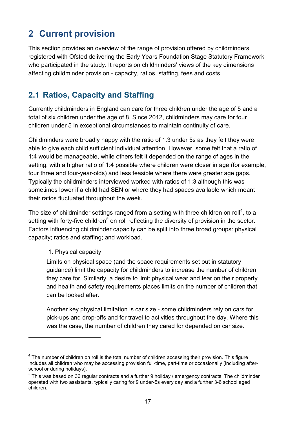# <span id="page-16-0"></span>**2 Current provision**

This section provides an overview of the range of provision offered by childminders registered with Ofsted delivering the Early Years Foundation Stage Statutory Framework who participated in the study. It reports on childminders' views of the key dimensions affecting childminder provision - capacity, ratios, staffing, fees and costs.

# <span id="page-16-1"></span>**2.1 Ratios, Capacity and Staffing**

Currently childminders in England can care for three children under the age of 5 and a total of six children under the age of 8. Since 2012, childminders may care for four children under 5 in exceptional circumstances to maintain continuity of care.

Childminders were broadly happy with the ratio of 1:3 under 5s as they felt they were able to give each child sufficient individual attention. However, some felt that a ratio of 1:4 would be manageable, while others felt it depended on the range of ages in the setting, with a higher ratio of 1:4 possible where children were closer in age (for example, four three and four-year-olds) and less feasible where there were greater age gaps. Typically the childminders interviewed worked with ratios of 1:3 although this was sometimes lower if a child had SEN or where they had spaces available which meant their ratios fluctuated throughout the week.

The size of childminder settings ranged from a setting with three children on roll<sup>[4](#page-16-2)</sup>, to a setting with forty-five children<sup>[5](#page-16-3)</sup> on roll reflecting the diversity of provision in the sector. Factors influencing childminder capacity can be split into three broad groups: physical capacity; ratios and staffing; and workload.

#### 1. Physical capacity

-

Limits on physical space (and the space requirements set out in statutory guidance) limit the capacity for childminders to increase the number of children they care for. Similarly, a desire to limit physical wear and tear on their property and health and safety requirements places limits on the number of children that can be looked after.

Another key physical limitation is car size - some childminders rely on cars for pick-ups and drop-offs and for travel to activities throughout the day. Where this was the case, the number of children they cared for depended on car size.

<span id="page-16-2"></span><sup>4</sup> The number of children on roll is the total number of children accessing their provision. This figure includes all children who may be accessing provision full-time, part-time or occasionally (including afterschool or during holidays).

<span id="page-16-3"></span><sup>5</sup> This was based on 36 regular contracts and a further 9 holiday / emergency contracts. The childminder operated with two assistants, typically caring for 9 under-5s every day and a further 3-6 school aged children.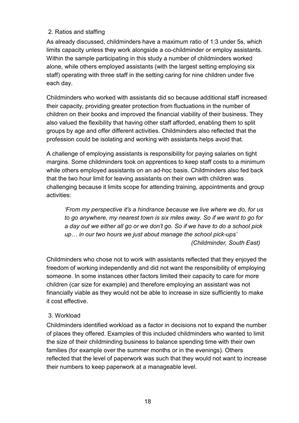## 2. Ratios and staffing

As already discussed, childminders have a maximum ratio of 1:3 under 5s, which limits capacity unless they work alongside a co-childminder or employ assistants. Within the sample participating in this study a number of childminders worked alone, while others employed assistants (with the largest setting employing six staff) operating with three staff in the setting caring for nine children under five each day.

Childminders who worked with assistants did so because additional staff increased their capacity, providing greater protection from fluctuations in the number of children on their books and improved the financial viability of their business. They also valued the flexibility that having other staff afforded, enabling them to split groups by age and offer different activities. Childminders also reflected that the profession could be isolating and working with assistants helps avoid that.

A challenge of employing assistants is responsibility for paying salaries on tight margins. Some childminders took on apprentices to keep staff costs to a minimum while others employed assistants on an ad-hoc basis. Childminders also fed back that the two hour limit for leaving assistants on their own with children was challenging because it limits scope for attending training, appointments and group activities:

*'From my perspective it's a hindrance because we live where we do, for us to go anywhere, my nearest town is six miles away. So if we want to go for a day out we either all go or we don't go. So if we have to do a school pick up… in our two hours we just about manage the school pick-ups' (Childminder, South East)*

Childminders who chose not to work with assistants reflected that they enjoyed the freedom of working independently and did not want the responsibility of employing someone. In some instances other factors limited their capacity to care for more children (car size for example) and therefore employing an assistant was not financially viable as they would not be able to increase in size sufficiently to make it cost effective.

#### 3. Workload

Childminders identified workload as a factor in decisions not to expand the number of places they offered. Examples of this included childminders who wanted to limit the size of their childminding business to balance spending time with their own families (for example over the summer months or in the evenings). Others reflected that the level of paperwork was such that they would not want to increase their numbers to keep paperwork at a manageable level.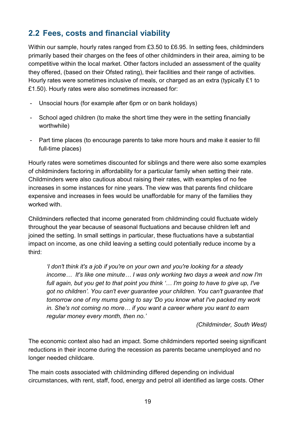# <span id="page-18-0"></span>**2.2 Fees, costs and financial viability**

Within our sample, hourly rates ranged from £3.50 to £6.95. In setting fees, childminders primarily based their charges on the fees of other childminders in their area, aiming to be competitive within the local market. Other factors included an assessment of the quality they offered, (based on their Ofsted rating), their facilities and their range of activities. Hourly rates were sometimes inclusive of meals, or charged as an extra (typically £1 to £1.50). Hourly rates were also sometimes increased for:

- Unsocial hours (for example after 6pm or on bank holidays)
- School aged children (to make the short time they were in the setting financially worthwhile)
- Part time places (to encourage parents to take more hours and make it easier to fill full-time places)

Hourly rates were sometimes discounted for siblings and there were also some examples of childminders factoring in affordability for a particular family when setting their rate. Childminders were also cautious about raising their rates, with examples of no fee increases in some instances for nine years. The view was that parents find childcare expensive and increases in fees would be unaffordable for many of the families they worked with.

Childminders reflected that income generated from childminding could fluctuate widely throughout the year because of seasonal fluctuations and because children left and joined the setting. In small settings in particular, these fluctuations have a substantial impact on income, as one child leaving a setting could potentially reduce income by a third:

*'I don't think it's a job if you're on your own and you're looking for a steady income… It's like one minute… I was only working two days a week and now I'm full again, but you get to that point you think '… I'm going to have to give up, I've got no children'. You can't ever guarantee your children. You can't guarantee that tomorrow one of my mums going to say 'Do you know what I've packed my work in. She's not coming no more… if you want a career where you want to earn regular money every month, then no.'*

*(Childminder, South West)*

The economic context also had an impact. Some childminders reported seeing significant reductions in their income during the recession as parents became unemployed and no longer needed childcare.

The main costs associated with childminding differed depending on individual circumstances, with rent, staff, food, energy and petrol all identified as large costs. Other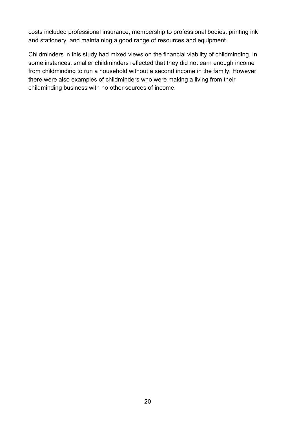costs included professional insurance, membership to professional bodies, printing ink and stationery, and maintaining a good range of resources and equipment.

Childminders in this study had mixed views on the financial viability of childminding. In some instances, smaller childminders reflected that they did not earn enough income from childminding to run a household without a second income in the family. However, there were also examples of childminders who were making a living from their childminding business with no other sources of income.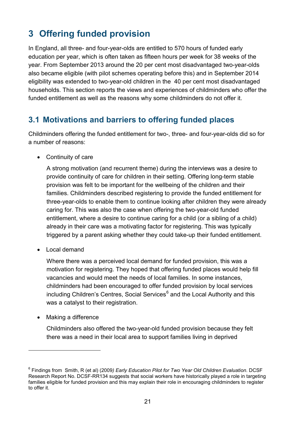# <span id="page-20-0"></span>**3 Offering funded provision**

In England, all three- and four-year-olds are entitled to 570 hours of funded early education per year, which is often taken as fifteen hours per week for 38 weeks of the year. From September 2013 around the 20 per cent most disadvantaged two-year-olds also became eligible (with pilot schemes operating before this) and in September 2014 eligibility was extended to two-year-old children in the 40 per cent most disadvantaged households. This section reports the views and experiences of childminders who offer the funded entitlement as well as the reasons why some childminders do not offer it.

## <span id="page-20-1"></span>**3.1 Motivations and barriers to offering funded places**

Childminders offering the funded entitlement for two-, three- and four-year-olds did so for a number of reasons:

• Continuity of care

A strong motivation (and recurrent theme) during the interviews was a desire to provide continuity of care for children in their setting. Offering long-term stable provision was felt to be important for the wellbeing of the children and their families. Childminders described registering to provide the funded entitlement for three-year-olds to enable them to continue looking after children they were already caring for. This was also the case when offering the two-year-old funded entitlement, where a desire to continue caring for a child (or a sibling of a child) already in their care was a motivating factor for registering. This was typically triggered by a parent asking whether they could take-up their funded entitlement.

• Local demand

Where there was a perceived local demand for funded provision, this was a motivation for registering. They hoped that offering funded places would help fill vacancies and would meet the needs of local families. In some instances, childminders had been encouraged to offer funded provision by local services including Children's Centres, Social Services $<sup>6</sup>$  $<sup>6</sup>$  $<sup>6</sup>$  and the Local Authority and this</sup> was a catalyst to their registration.

• Making a difference

-

Childminders also offered the two-year-old funded provision because they felt there was a need in their local area to support families living in deprived

<span id="page-20-2"></span><sup>6</sup> Findings from Smith, R (et al) (2009*) Early Education Pilot for Two Year Old Children Evaluation*. DCSF Research Report No. DCSF-RR134 suggests that social workers have historically played a role in targeting families eligible for funded provision and this may explain their role in encouraging childminders to register to offer it.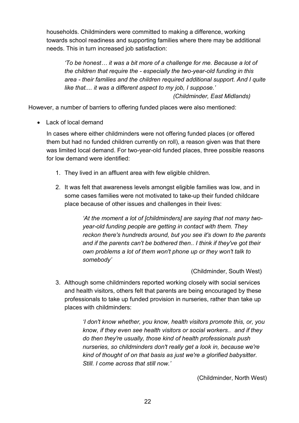households. Childminders were committed to making a difference, working towards school readiness and supporting families where there may be additional needs. This in turn increased job satisfaction:

*'To be honest… it was a bit more of a challenge for me. Because a lot of the children that require the - especially the two-year-old funding in this area - their families and the children required additional support. And I quite like that.... it was a different aspect to my job, I suppose.' (Childminder, East Midlands)*

However, a number of barriers to offering funded places were also mentioned:

• Lack of local demand

In cases where either childminders were not offering funded places (or offered them but had no funded children currently on roll), a reason given was that there was limited local demand. For two-year-old funded places, three possible reasons for low demand were identified:

- 1. They lived in an affluent area with few eligible children.
- 2. It was felt that awareness levels amongst eligible families was low, and in some cases families were not motivated to take-up their funded childcare place because of other issues and challenges in their lives:

*'At the moment a lot of [childminders] are saying that not many twoyear-old funding people are getting in contact with them. They reckon there's hundreds around, but you see it's down to the parents and if the parents can't be bothered then.. I think if they've got their own problems a lot of them won't phone up or they won't talk to somebody'*

(Childminder, South West)

3. Although some childminders reported working closely with social services and health visitors, others felt that parents are being encouraged by these professionals to take up funded provision in nurseries, rather than take up places with childminders:

> *'I don't know whether, you know, health visitors promote this, or, you know, if they even see health visitors or social workers.. and if they do then they're usually, those kind of health professionals push nurseries, so childminders don't really get a look in, because we're kind of thought of on that basis as just we're a glorified babysitter. Still. I come across that still now.'*

> > (Childminder, North West)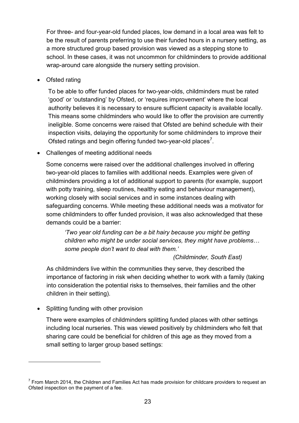For three- and four-year-old funded places, low demand in a local area was felt to be the result of parents preferring to use their funded hours in a nursery setting, as a more structured group based provision was viewed as a stepping stone to school. In these cases, it was not uncommon for childminders to provide additional wrap-around care alongside the nursery setting provision.

• Ofsted rating

To be able to offer funded places for two-year-olds, childminders must be rated 'good' or 'outstanding' by Ofsted, or 'requires improvement' where the local authority believes it is necessary to ensure sufficient capacity is available locally. This means some childminders who would like to offer the provision are currently ineligible. Some concerns were raised that Ofsted are behind schedule with their inspection visits, delaying the opportunity for some childminders to improve their Ofsted ratings and begin offering funded two-year-old places<sup>[7](#page-22-0)</sup>.

• Challenges of meeting additional needs

Some concerns were raised over the additional challenges involved in offering two-year-old places to families with additional needs. Examples were given of childminders providing a lot of additional support to parents (for example, support with potty training, sleep routines, healthy eating and behaviour management), working closely with social services and in some instances dealing with safeguarding concerns. While meeting these additional needs was a motivator for some childminders to offer funded provision, it was also acknowledged that these demands could be a barrier:

*'Two year old funding can be a bit hairy because you might be getting children who might be under social services, they might have problems… some people don't want to deal with them.'*

#### *(Childminder, South East)*

As childminders live within the communities they serve, they described the importance of factoring in risk when deciding whether to work with a family (taking into consideration the potential risks to themselves, their families and the other children in their setting).

• Splitting funding with other provision

-

There were examples of childminders splitting funded places with other settings including local nurseries. This was viewed positively by childminders who felt that sharing care could be beneficial for children of this age as they moved from a small setting to larger group based settings:

<span id="page-22-0"></span> $7$  From March 2014, the Children and Families Act has made provision for childcare providers to request an Ofsted inspection on the payment of a fee.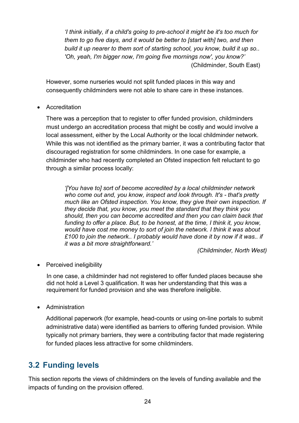*'I think initially, if a child's going to pre-school it might be it's too much for them to go five days, and it would be better to [start with] two, and then build it up nearer to them sort of starting school, you know, build it up so.. 'Oh, yeah, I'm bigger now, I'm going five mornings now', you know?'* (Childminder, South East)

However, some nurseries would not split funded places in this way and consequently childminders were not able to share care in these instances.

• Accreditation

There was a perception that to register to offer funded provision, childminders must undergo an accreditation process that might be costly and would involve a local assessment, either by the Local Authority or the local childminder network. While this was not identified as the primary barrier, it was a contributing factor that discouraged registration for some childminders. In one case for example, a childminder who had recently completed an Ofsted inspection felt reluctant to go through a similar process locally:

*'[You have to] sort of become accredited by a local childminder network who come out and, you know, inspect and look through. It's - that's pretty much like an Ofsted inspection. You know, they give their own inspection. If they decide that, you know, you meet the standard that they think you should, then you can become accredited and then you can claim back that funding to offer a place. But, to be honest, at the time, I think it, you know, would have cost me money to sort of join the network. I think it was about £100 to join the network.. I probably would have done it by now if it was.. if it was a bit more straightforward.'*

*(Childminder, North West)*

• Perceived ineligibility

In one case, a childminder had not registered to offer funded places because she did not hold a Level 3 qualification. It was her understanding that this was a requirement for funded provision and she was therefore ineligible.

• Administration

Additional paperwork (for example, head-counts or using on-line portals to submit administrative data) were identified as barriers to offering funded provision. While typically not primary barriers, they were a contributing factor that made registering for funded places less attractive for some childminders.

## <span id="page-23-0"></span>**3.2 Funding levels**

This section reports the views of childminders on the levels of funding available and the impacts of funding on the provision offered.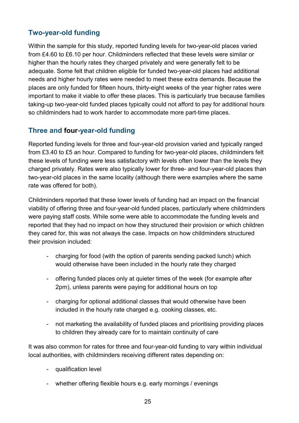## <span id="page-24-0"></span>**Two-year-old funding**

Within the sample for this study, reported funding levels for two-year-old places varied from £4.60 to £6.10 per hour. Childminders reflected that these levels were similar or higher than the hourly rates they charged privately and were generally felt to be adequate. Some felt that children eligible for funded two-year-old places had additional needs and higher hourly rates were needed to meet these extra demands. Because the places are only funded for fifteen hours, thirty-eight weeks of the year higher rates were important to make it viable to offer these places. This is particularly true because families taking-up two-year-old funded places typically could not afford to pay for additional hours so childminders had to work harder to accommodate more part-time places.

## <span id="page-24-1"></span>**Three and four-year-old funding**

Reported funding levels for three and four-year-old provision varied and typically ranged from £3.40 to £5 an hour. Compared to funding for two-year-old places, childminders felt these levels of funding were less satisfactory with levels often lower than the levels they charged privately. Rates were also typically lower for three- and four-year-old places than two-year-old places in the same locality (although there were examples where the same rate was offered for both).

Childminders reported that these lower levels of funding had an impact on the financial viability of offering three and four-year-old funded places, particularly where childminders were paying staff costs. While some were able to accommodate the funding levels and reported that they had no impact on how they structured their provision or which children they cared for, this was not always the case. Impacts on how childminders structured their provision included:

- charging for food (with the option of parents sending packed lunch) which would otherwise have been included in the hourly rate they charged
- offering funded places only at quieter times of the week (for example after 2pm), unless parents were paying for additional hours on top
- charging for optional additional classes that would otherwise have been included in the hourly rate charged e.g. cooking classes, etc.
- not marketing the availability of funded places and prioritising providing places to children they already care for to maintain continuity of care

It was also common for rates for three and four-year-old funding to vary within individual local authorities, with childminders receiving different rates depending on:

- qualification level
- whether offering flexible hours e.g. early mornings / evenings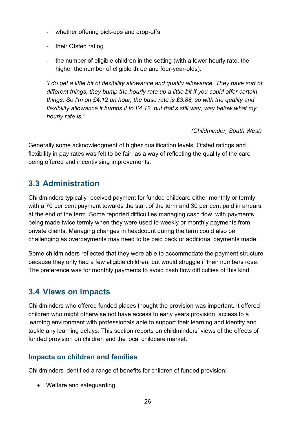- whether offering pick-ups and drop-offs
- their Ofsted rating
- the number of eligible children in the setting (with a lower hourly rate, the higher the number of eligible three and four-year-olds).

*'I do get a little bit of flexibility allowance and quality allowance. They have sort of different things, they bump the hourly rate up a little bit if you could offer certain things. So I'm on £4.12 an hour, the base rate is £3.88, so with the quality and flexibility allowance it bumps it to £4.12, but that's still way, way below what my hourly rate is.'* 

*(Childminder, South West)*

Generally some acknowledgment of higher qualification levels, Ofsted ratings and flexibility in pay rates was felt to be fair, as a way of reflecting the quality of the care being offered and incentivising improvements.

# <span id="page-25-0"></span>**3.3 Administration**

Childminders typically received payment for funded childcare either monthly or termly with a 70 per cent payment towards the start of the term and 30 per cent paid in arrears at the end of the term. Some reported difficulties managing cash flow, with payments being made twice termly when they were used to weekly or monthly payments from private clients. Managing changes in headcount during the term could also be challenging as overpayments may need to be paid back or additional payments made.

Some childminders reflected that they were able to accommodate the payment structure because they only had a few eligible children, but would struggle if their numbers rose. The preference was for monthly payments to avoid cash flow difficulties of this kind.

# <span id="page-25-1"></span>**3.4 Views on impacts**

Childminders who offered funded places thought the provision was important. It offered children who might otherwise not have access to early years provision, access to a learning environment with professionals able to support their learning and identify and tackle any learning delays. This section reports on childminders' views of the effects of funded provision on children and the local childcare market:

## <span id="page-25-2"></span>**Impacts on children and families**

Childminders identified a range of benefits for children of funded provision:

• Welfare and safeguarding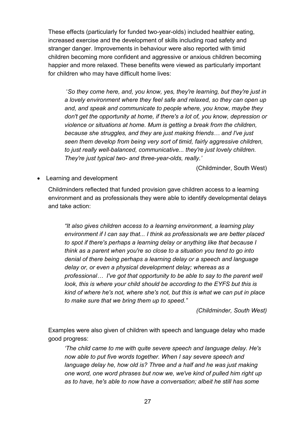These effects (particularly for funded two-year-olds) included healthier eating, increased exercise and the development of skills including road safety and stranger danger. Improvements in behaviour were also reported with timid children becoming more confident and aggressive or anxious children becoming happier and more relaxed. These benefits were viewed as particularly important for children who may have difficult home lives:

'*So they come here, and, you know, yes, they're learning, but they're just in a lovely environment where they feel safe and relaxed, so they can open up and, and speak and communicate to people where, you know, maybe they don't get the opportunity at home, if there's a lot of, you know, depression or violence or situations at home. Mum is getting a break from the children, because she struggles, and they are just making friends… and I've just seen them develop from being very sort of timid, fairly aggressive children, to just really well-balanced, communicative... they're just lovely children. They're just typical two- and three-year-olds, really.'*

(Childminder, South West)

• Learning and development

Childminders reflected that funded provision gave children access to a learning environment and as professionals they were able to identify developmental delays and take action:

*"It also gives children access to a learning environment, a learning play environment if I can say that... I think as professionals we are better placed to spot if there's perhaps a learning delay or anything like that because I think as a parent when you're so close to a situation you tend to go into denial of there being perhaps a learning delay or a speech and language delay or, or even a physical development delay; whereas as a professional… I've got that opportunity to be able to say to the parent well look, this is where your child should be according to the EYFS but this is kind of where he's not, where she's not, but this is what we can put in place to make sure that we bring them up to speed."*

*(Childminder, South West)*

Examples were also given of children with speech and language delay who made good progress:

*'The child came to me with quite severe speech and language delay. He's now able to put five words together. When I say severe speech and language delay he, how old is? Three and a half and he was just making one word, one word phrases but now we, we've kind of pulled him right up as to have, he's able to now have a conversation; albeit he still has some*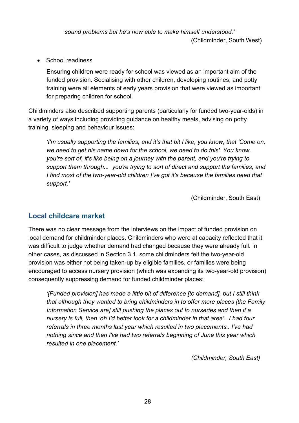*sound problems but he's now able to make himself understood.'* (Childminder, South West)

• School readiness

Ensuring children were ready for school was viewed as an important aim of the funded provision. Socialising with other children, developing routines, and potty training were all elements of early years provision that were viewed as important for preparing children for school.

Childminders also described supporting parents (particularly for funded two-year-olds) in a variety of ways including providing guidance on healthy meals, advising on potty training, sleeping and behaviour issues:

*'I'm usually supporting the families, and it's that bit I like, you know, that 'Come on, we need to get his name down for the school, we need to do this'. You know, you're sort of, it's like being on a journey with the parent, and you're trying to support them through... you're trying to sort of direct and support the families, and I find most of the two-year-old children I've got it's because the families need that support.'* 

(Childminder, South East)

## <span id="page-27-0"></span>**Local childcare market**

There was no clear message from the interviews on the impact of funded provision on local demand for childminder places. Childminders who were at capacity reflected that it was difficult to judge whether demand had changed because they were already full. In other cases, as discussed in Section 3.1, some childminders felt the two-year-old provision was either not being taken-up by eligible families, or families were being encouraged to access nursery provision (which was expanding its two-year-old provision) consequently suppressing demand for funded childminder places:

*'[Funded provision] has made a little bit of difference [to demand], but I still think that although they wanted to bring childminders in to offer more places [the Family Information Service are] still pushing the places out to nurseries and then if a nursery is full, then 'oh I'd better look for a childminder in that area'.. I had four referrals in three months last year which resulted in two placements.. I've had nothing since and then I've had two referrals beginning of June this year which resulted in one placement.'* 

*(Childminder, South East)*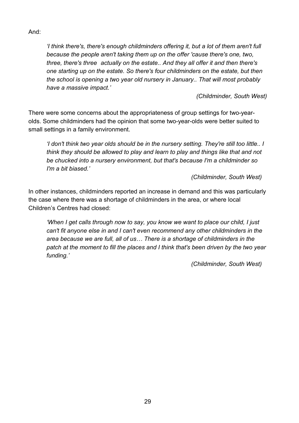And:

*'I think there's, there's enough childminders offering it, but a lot of them aren't full because the people aren't taking them up on the offer 'cause there's one, two, three, there's three actually on the estate.. And they all offer it and then there's one starting up on the estate. So there's four childminders on the estate, but then the school is opening a two year old nursery in January.. That will most probably have a massive impact.'* 

*(Childminder, South West)*

There were some concerns about the appropriateness of group settings for two-yearolds. Some childminders had the opinion that some two-year-olds were better suited to small settings in a family environment.

*'I don't think two year olds should be in the nursery setting. They're still too little.. I think they should be allowed to play and learn to play and things like that and not be chucked into a nursery environment, but that's because I'm a childminder so I'm a bit biased.'* 

*(Childminder, South West)*

In other instances, childminders reported an increase in demand and this was particularly the case where there was a shortage of childminders in the area, or where local Children's Centres had closed:

*'When I get calls through now to say, you know we want to place our child, I just can't fit anyone else in and I can't even recommend any other childminders in the area because we are full, all of us… There is a shortage of childminders in the patch at the moment to fill the places and I think that's been driven by the two year funding.'*

*(Childminder, South West)*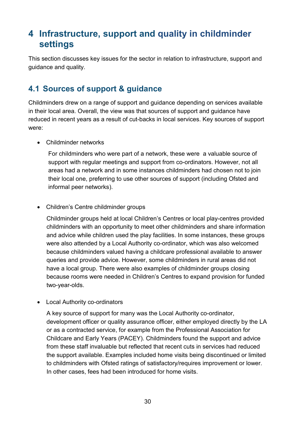# <span id="page-29-0"></span>**4 Infrastructure, support and quality in childminder settings**

This section discusses key issues for the sector in relation to infrastructure, support and guidance and quality.

# <span id="page-29-1"></span>**4.1 Sources of support & guidance**

Childminders drew on a range of support and guidance depending on services available in their local area. Overall, the view was that sources of support and guidance have reduced in recent years as a result of cut-backs in local services. Key sources of support were:

• Childminder networks

For childminders who were part of a network, these were a valuable source of support with regular meetings and support from co-ordinators. However, not all areas had a network and in some instances childminders had chosen not to join their local one, preferring to use other sources of support (including Ofsted and informal peer networks).

• Children's Centre childminder groups

Childminder groups held at local Children's Centres or local play-centres provided childminders with an opportunity to meet other childminders and share information and advice while children used the play facilities. In some instances, these groups were also attended by a Local Authority co-ordinator, which was also welcomed because childminders valued having a childcare professional available to answer queries and provide advice. However, some childminders in rural areas did not have a local group. There were also examples of childminder groups closing because rooms were needed in Children's Centres to expand provision for funded two-year-olds.

• Local Authority co-ordinators

A key source of support for many was the Local Authority co-ordinator, development officer or quality assurance officer, either employed directly by the LA or as a contracted service, for example from the Professional Association for Childcare and Early Years (PACEY). Childminders found the support and advice from these staff invaluable but reflected that recent cuts in services had reduced the support available. Examples included home visits being discontinued or limited to childminders with Ofsted ratings of satisfactory/requires improvement or lower. In other cases, fees had been introduced for home visits.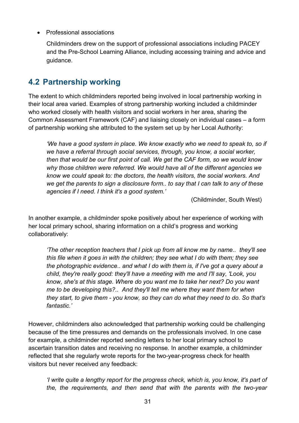• Professional associations

Childminders drew on the support of professional associations including PACEY and the Pre-School Learning Alliance, including accessing training and advice and guidance.

## <span id="page-30-0"></span>**4.2 Partnership working**

The extent to which childminders reported being involved in local partnership working in their local area varied. Examples of strong partnership working included a childminder who worked closely with health visitors and social workers in her area, sharing the Common Assessment Framework (CAF) and liaising closely on individual cases – a form of partnership working she attributed to the system set up by her Local Authority:

*'We have a good system in place. We know exactly who we need to speak to, so if we have a referral through social services, through, you know, a social worker, then that would be our first point of call. We get the CAF form, so we would know why those children were referred. We would have all of the different agencies we know we could speak to: the doctors, the health visitors, the social workers. And we get the parents to sign a disclosure form.. to say that I can talk to any of these agencies if I need. I think it's a good system.'*

(Childminder, South West)

In another example, a childminder spoke positively about her experience of working with her local primary school, sharing information on a child's progress and working collaboratively:

*'The other reception teachers that I pick up from all know me by name.. they'll see this file when it goes in with the children; they see what I do with them; they see the photographic evidence.. and what I do with them is, if I've got a query about a child, they're really good: they'll have a meeting with me and I'll say, 'Look, you know, she's at this stage. Where do you want me to take her next? Do you want me to be developing this?.. And they'll tell me where they want them for when they start, to give them - you know, so they can do what they need to do. So that's fantastic.'*

However, childminders also acknowledged that partnership working could be challenging because of the time pressures and demands on the professionals involved. In one case for example, a childminder reported sending letters to her local primary school to ascertain transition dates and receiving no response. In another example, a childminder reflected that she regularly wrote reports for the two-year-progress check for health visitors but never received any feedback:

*'I write quite a lengthy report for the progress check, which is, you know, it's part of the, the requirements, and then send that with the parents with the two-year*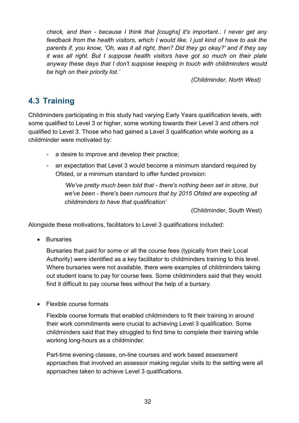*check, and then - because I think that [coughs] it's important.. I never get any feedback from the health visitors, which I would like. I just kind of have to ask the parents if, you know, 'Oh, was it all right, then? Did they go okay?' and if they say it was all right. But I suppose health visitors have got so much on their plate anyway these days that I don't suppose keeping in touch with childminders would be high on their priority list.'* 

*(Childminder, North West)*

# <span id="page-31-0"></span>**4.3 Training**

Childminders participating in this study had varying Early Years qualification levels, with some qualified to Level 3 or higher, some working towards their Level 3 and others not qualified to Level 3. Those who had gained a Level 3 qualification while working as a childminder were motivated by:

- a desire to improve and develop their practice;
- an expectation that Level 3 would become a minimum standard required by Ofsted, or a minimum standard to offer funded provision:

*'We've pretty much been told that - there's nothing been set in stone, but we've been - there's been rumours that by 2015 Ofsted are expecting all childminders to have that qualification'*

(Childminder, South West)

Alongside these motivations, facilitators to Level 3 qualifications included:

• Bursaries

Bursaries that paid for some or all the course fees (typically from their Local Authority) were identified as a key facilitator to childminders training to this level. Where bursaries were not available, there were examples of childminders taking out student loans to pay for course fees. Some childminders said that they would find it difficult to pay course fees without the help of a bursary.

• Flexible course formats

Flexible course formats that enabled childminders to fit their training in around their work commitments were crucial to achieving Level 3 qualification. Some childminders said that they struggled to find time to complete their training while working long-hours as a childminder.

Part-time evening classes, on-line courses and work based assessment approaches that involved an assessor making regular visits to the setting were all approaches taken to achieve Level 3 qualifications.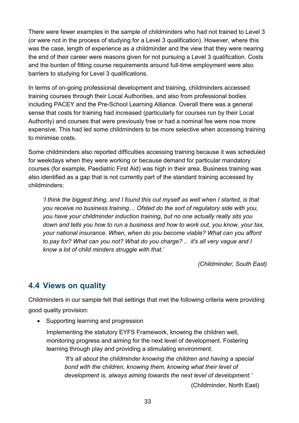There were fewer examples in the sample of childminders who had not trained to Level 3 (or were not in the process of studying for a Level 3 qualification). However, where this was the case, length of experience as a childminder and the view that they were nearing the end of their career were reasons given for not pursuing a Level 3 qualification. Costs and the burden of fitting course requirements around full-time employment were also barriers to studying for Level 3 qualifications.

In terms of on-going professional development and training, childminders accessed training courses through their Local Authorities, and also from professional bodies including PACEY and the Pre-School Learning Alliance. Overall there was a general sense that costs for training had increased (particularly for courses run by their Local Authority) and courses that were previously free or had a nominal fee were now more expensive. This had led some childminders to be more selective when accessing training to minimise costs.

Some childminders also reported difficulties accessing training because it was scheduled for weekdays when they were working or because demand for particular mandatory courses (for example, Paediatric First Aid) was high in their area. Business training was also identified as a gap that is not currently part of the standard training accessed by childminders:

*'I think the biggest thing, and I found this out myself as well when I started, is that you receive no business training… Ofsted do the sort of regulatory side with you, you have your childminder induction training, but no one actually really sits you down and tells you how to run a business and how to work out, you know, your tax, your national insurance. When, when do you become viable? What can you afford to pay for? What can you not? What do you charge? .. it's all very vague and I know a lot of child minders struggle with that.'*

*(Childminder, South East)*

# <span id="page-32-0"></span>**4.4 Views on quality**

Childminders in our sample felt that settings that met the following criteria were providing good quality provision:

• Supporting learning and progression

Implementing the statutory EYFS Framework, knowing the children well, monitoring progress and aiming for the next level of development. Fostering learning through play and providing a stimulating environment.

*'It's all about the childminder knowing the children and having a special bond with the children, knowing them, knowing what their level of development is, always aiming towards the next level of development.'* 

(Childminder, North East)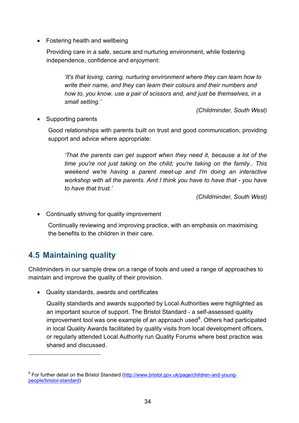• Fostering health and wellbeing

Providing care in a safe, secure and nurturing environment, while fostering independence, confidence and enjoyment:

*'It's that loving, caring, nurturing environment where they can learn how to write their name, and they can learn their colours and their numbers and how to, you know, use a pair of scissors and, and just be themselves, in a small setting.'* 

*(Childminder, South West)*

• Supporting parents

Good relationships with parents built on trust and good communication, providing support and advice where appropriate:

*'That the parents can get support when they need it, because a lot of the time you're not just taking on the child; you're taking on the family.. This weekend we're having a parent meet-up and I'm doing an interactive workshop with all the parents. And I think you have to have that - you have to have that trust.'*

*(Childminder, South West)*

• Continually striving for quality improvement

Continually reviewing and improving practice, with an emphasis on maximising the benefits to the children in their care.

# <span id="page-33-0"></span>**4.5 Maintaining quality**

-

Childminders in our sample drew on a range of tools and used a range of approaches to maintain and improve the quality of their provision.

• Quality standards, awards and certificates

Quality standards and awards supported by Local Authorities were highlighted as an important source of support. The Bristol Standard - a self-assessed quality improvement tool was one example of an approach used<sup>[8](#page-33-1)</sup>. Others had participated in local Quality Awards facilitated by quality visits from local development officers, or regularly attended Local Authority run Quality Forums where best practice was shared and discussed.

<span id="page-33-1"></span><sup>&</sup>lt;sup>8</sup> For further detail on the Bristol Standard [\(http://www.bristol.gov.uk/page/children-and-young](http://www.bristol.gov.uk/page/children-and-young-people/bristol-standard)[people/bristol-standard\)](http://www.bristol.gov.uk/page/children-and-young-people/bristol-standard)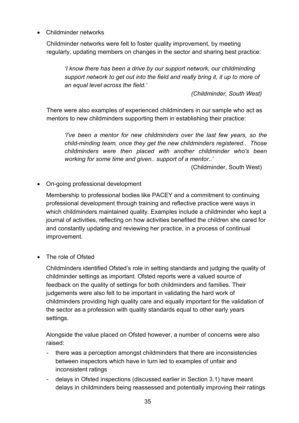• Childminder networks

Childminder networks were felt to foster quality improvement, by meeting regularly, updating members on changes in the sector and sharing best practice:

*'I know there has been a drive by our support network, our childminding support network to get out into the field and really bring it, it up to more of an equal level across the field.'*

*(Childminder, South West)*

There were also examples of experienced childminders in our sample who act as mentors to new childminders supporting them in establishing their practice:

*'I've been a mentor for new childminders over the last few years, so the child-minding team, once they get the new childminders registered.. Those childminders were then placed with another childminder who's been working for some time and given.. support of a mentor..'* 

(Childminder, South West)

• On-going professional development

Membership to professional bodies like PACEY and a commitment to continuing professional development through training and reflective practice were ways in which childminders maintained quality. Examples include a childminder who kept a journal of activities, reflecting on how activities benefited the children she cared for and constantly updating and reviewing her practice, in a process of continual improvement.

• The role of Ofsted

Childminders identified Ofsted's role in setting standards and judging the quality of childminder settings as important. Ofsted reports were a valued source of feedback on the quality of settings for both childminders and families. Their judgements were also felt to be important in validating the hard work of childminders providing high quality care and equally important for the validation of the sector as a profession with quality standards equal to other early years settings.

Alongside the value placed on Ofsted however, a number of concerns were also raised:

- there was a perception amongst childminders that there are inconsistencies between inspectors which have in turn led to examples of unfair and inconsistent ratings
- delays in Ofsted inspections (discussed earlier in Section 3.1) have meant delays in childminders being reassessed and potentially improving their ratings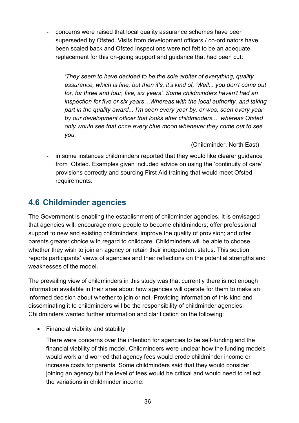- concerns were raised that local quality assurance schemes have been superseded by Ofsted. Visits from development officers / co-ordinators have been scaled back and Ofsted inspections were not felt to be an adequate replacement for this on-going support and guidance that had been cut:

*'They seem to have decided to be the sole arbiter of everything, quality assurance, which is fine, but then it's, it's kind of, 'Well... you don't come out for, for three and four, five, six years'. Some childminders haven't had an inspection for five or six years…Whereas with the local authority, and taking part in the quality award... I'm seen every year by, or was, seen every year by our development officer that looks after childminders... whereas Ofsted only would see that once every blue moon whenever they come out to see you.*

(Childminder, North East)

- in some instances childminders reported that they would like clearer guidance from Ofsted. Examples given included advice on using the 'continuity of care' provisions correctly and sourcing First Aid training that would meet Ofsted requirements.

# <span id="page-35-0"></span>**4.6 Childminder agencies**

The Government is enabling the establishment of childminder agencies. It is envisaged that agencies will: encourage more people to become childminders; offer professional support to new and existing childminders; improve the quality of provision; and offer parents greater choice with regard to childcare. Childminders will be able to choose whether they wish to join an agency or retain their independent status. This section reports participants' views of agencies and their reflections on the potential strengths and weaknesses of the model.

The prevailing view of childminders in this study was that currently there is not enough information available in their area about how agencies will operate for them to make an informed decision about whether to join or not. Providing information of this kind and disseminating it to childminders will be the responsibility of childminder agencies. Childminders wanted further information and clarification on the following:

• Financial viability and stability

There were concerns over the intention for agencies to be self-funding and the financial viability of this model. Childminders were unclear how the funding models would work and worried that agency fees would erode childminder income or increase costs for parents. Some childminders said that they would consider joining an agency but the level of fees would be critical and would need to reflect the variations in childminder income.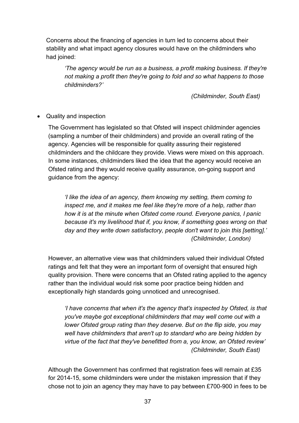Concerns about the financing of agencies in turn led to concerns about their stability and what impact agency closures would have on the childminders who had joined:

*'The agency would be run as a business, a profit making business. If they're not making a profit then they're going to fold and so what happens to those childminders?'*

*(Childminder, South East)*

• Quality and inspection

The Government has legislated so that Ofsted will inspect childminder agencies (sampling a number of their childminders) and provide an overall rating of the agency. Agencies will be responsible for quality assuring their registered childminders and the childcare they provide. Views were mixed on this approach. In some instances, childminders liked the idea that the agency would receive an Ofsted rating and they would receive quality assurance, on-going support and guidance from the agency:

*'I like the idea of an agency, them knowing my setting, them coming to inspect me, and it makes me feel like they're more of a help, rather than how it is at the minute when Ofsted come round. Everyone panics, I panic because it's my livelihood that if, you know, if something goes wrong on that day and they write down satisfactory, people don't want to join this [setting].' (Childminder, London)*

However, an alternative view was that childminders valued their individual Ofsted ratings and felt that they were an important form of oversight that ensured high quality provision. There were concerns that an Ofsted rating applied to the agency rather than the individual would risk some poor practice being hidden and exceptionally high standards going unnoticed and unrecognised.

*'I have concerns that when it's the agency that's inspected by Ofsted, is that you've maybe got exceptional childminders that may well come out with a lower Ofsted group rating than they deserve. But on the flip side, you may well have childminders that aren't up to standard who are being hidden by virtue of the fact that they've benefitted from a, you know, an Ofsted review' (Childminder, South East)*

Although the Government has confirmed that registration fees will remain at £35 for 2014-15, some childminders were under the mistaken impression that if they chose not to join an agency they may have to pay between £700-900 in fees to be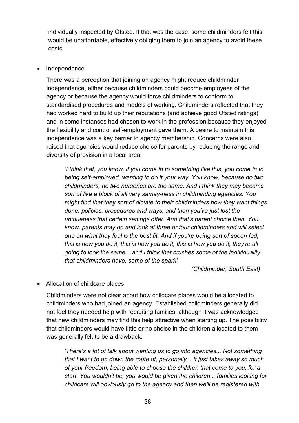individually inspected by Ofsted. If that was the case, some childminders felt this would be unaffordable, effectively obliging them to join an agency to avoid these costs.

#### • Independence

There was a perception that joining an agency might reduce childminder independence, either because childminders could become employees of the agency or because the agency would force childminders to conform to standardised procedures and models of working. Childminders reflected that they had worked hard to build up their reputations (and achieve good Ofsted ratings) and in some instances had chosen to work in the profession because they enjoyed the flexibility and control self-employment gave them. A desire to maintain this independence was a key barrier to agency membership. Concerns were also raised that agencies would reduce choice for parents by reducing the range and diversity of provision in a local area:

*'I think that, you know, if you come in to something like this, you come in to being self-employed, wanting to do it your way. You know, because no two childminders, no two nurseries are the same. And I think they may become sort of like a block of all very samey-ness in childminding agencies. You might find that they sort of dictate to their childminders how they want things done, policies, procedures and ways, and then you've just lost the uniqueness that certain settings offer. And that's parent choice then. You know, parents may go and look at three or four childminders and will select one on what they feel is the best fit. And if you're being sort of spoon fed, this is how you do it, this is how you do it, this is how you do it, they're all going to look the same... and I think that crushes some of the individuality that childminders have, some of the spark'*

*(Childminder, South East)*

• Allocation of childcare places

Childminders were not clear about how childcare places would be allocated to childminders who had joined an agency. Established childminders generally did not feel they needed help with recruiting families, although it was acknowledged that new childminders may find this help attractive when starting up. The possibility that childminders would have little or no choice in the children allocated to them was generally felt to be a drawback:

*'There's a lot of talk about wanting us to go into agencies... Not something that I want to go down the route of, personally... It just takes away so much of your freedom, being able to choose the children that come to you, for a start. You wouldn't be; you would be given the children... families looking for childcare will obviously go to the agency and then we'll be registered with*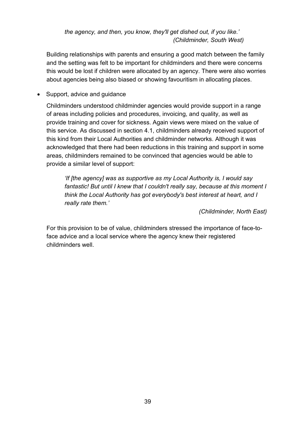*the agency, and then, you know, they'll get dished out, if you like.' (Childminder, South West)*

Building relationships with parents and ensuring a good match between the family and the setting was felt to be important for childminders and there were concerns this would be lost if children were allocated by an agency. There were also worries about agencies being also biased or showing favouritism in allocating places.

• Support, advice and quidance

Childminders understood childminder agencies would provide support in a range of areas including policies and procedures, invoicing, and quality, as well as provide training and cover for sickness. Again views were mixed on the value of this service. As discussed in section 4.1, childminders already received support of this kind from their Local Authorities and childminder networks. Although it was acknowledged that there had been reductions in this training and support in some areas, childminders remained to be convinced that agencies would be able to provide a similar level of support:

*'If [the agency] was as supportive as my Local Authority is, I would say fantastic! But until I knew that I couldn't really say, because at this moment I think the Local Authority has got everybody's best interest at heart, and I really rate them.'*

*(Childminder, North East)*

For this provision to be of value, childminders stressed the importance of face-toface advice and a local service where the agency knew their registered childminders well.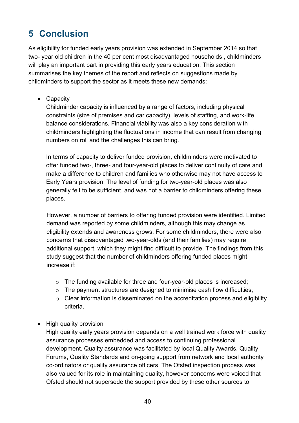# <span id="page-39-0"></span>**5 Conclusion**

As eligibility for funded early years provision was extended in September 2014 so that two- year old children in the 40 per cent most disadvantaged households , childminders will play an important part in providing this early years education. This section summarises the key themes of the report and reflects on suggestions made by childminders to support the sector as it meets these new demands:

• Capacity

Childminder capacity is influenced by a range of factors, including physical constraints (size of premises and car capacity), levels of staffing, and work-life balance considerations. Financial viability was also a key consideration with childminders highlighting the fluctuations in income that can result from changing numbers on roll and the challenges this can bring.

In terms of capacity to deliver funded provision, childminders were motivated to offer funded two-, three- and four-year-old places to deliver continuity of care and make a difference to children and families who otherwise may not have access to Early Years provision. The level of funding for two-year-old places was also generally felt to be sufficient, and was not a barrier to childminders offering these places.

However, a number of barriers to offering funded provision were identified. Limited demand was reported by some childminders, although this may change as eligibility extends and awareness grows. For some childminders, there were also concerns that disadvantaged two-year-olds (and their families) may require additional support, which they might find difficult to provide. The findings from this study suggest that the number of childminders offering funded places might increase if:

- o The funding available for three and four-year-old places is increased;
- $\circ$  The payment structures are designed to minimise cash flow difficulties;
- $\circ$  Clear information is disseminated on the accreditation process and eligibility criteria.
- High quality provision

High quality early years provision depends on a well trained work force with quality assurance processes embedded and access to continuing professional development. Quality assurance was facilitated by local Quality Awards, Quality Forums, Quality Standards and on-going support from network and local authority co-ordinators or quality assurance officers. The Ofsted inspection process was also valued for its role in maintaining quality, however concerns were voiced that Ofsted should not supersede the support provided by these other sources to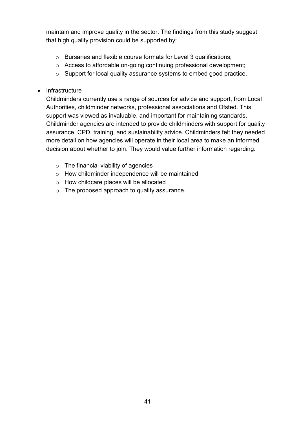maintain and improve quality in the sector. The findings from this study suggest that high quality provision could be supported by:

- o Bursaries and flexible course formats for Level 3 qualifications;
- o Access to affordable on-going continuing professional development;
- o Support for local quality assurance systems to embed good practice.
- Infrastructure

Childminders currently use a range of sources for advice and support, from Local Authorities, childminder networks, professional associations and Ofsted. This support was viewed as invaluable, and important for maintaining standards. Childminder agencies are intended to provide childminders with support for quality assurance, CPD, training, and sustainability advice. Childminders felt they needed more detail on how agencies will operate in their local area to make an informed decision about whether to join. They would value further information regarding:

- $\circ$  The financial viability of agencies
- o How childminder independence will be maintained
- o How childcare places will be allocated
- o The proposed approach to quality assurance.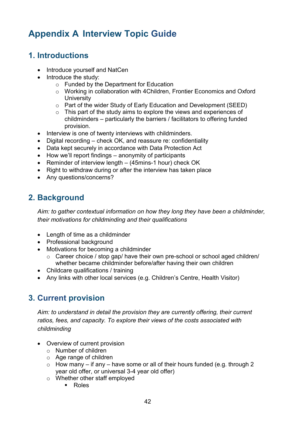# <span id="page-41-0"></span>**Appendix A Interview Topic Guide**

# <span id="page-41-1"></span>**1. Introductions**

- Introduce yourself and NatCen
- Introduce the study:
	- o Funded by the Department for Education
	- o Working in collaboration with 4Children, Frontier Economics and Oxford **University**
	- o Part of the wider Study of Early Education and Development (SEED)
	- $\circ$  This part of the study aims to explore the views and experiences of childminders – particularly the barriers / facilitators to offering funded provision.
- Interview is one of twenty interviews with childminders.
- Digital recording check OK, and reassure re: confidentiality
- Data kept securely in accordance with Data Protection Act
- How we'll report findings anonymity of participants
- Reminder of interview length (45mins-1 hour) check OK
- Right to withdraw during or after the interview has taken place
- Any questions/concerns?

# <span id="page-41-2"></span>**2. Background**

*Aim: to gather contextual information on how they long they have been a childminder, their motivations for childminding and their qualifications*

- Length of time as a childminder
- Professional background
- Motivations for becoming a childminder
	- o Career choice / stop gap/ have their own pre-school or school aged children/ whether became childminder before/after having their own children
- Childcare qualifications / training
- <span id="page-41-3"></span>• Any links with other local services (e.g. Children's Centre, Health Visitor)

# **3. Current provision**

*Aim: to understand in detail the provision they are currently offering, their current ratios, fees, and capacity. To explore their views of the costs associated with childminding*

- Overview of current provision
	- o Number of children
	- o Age range of children
	- $\circ$  How many if any have some or all of their hours funded (e.g. through 2 year old offer, or universal 3-4 year old offer)
	- o Whether other staff employed
		- **Roles**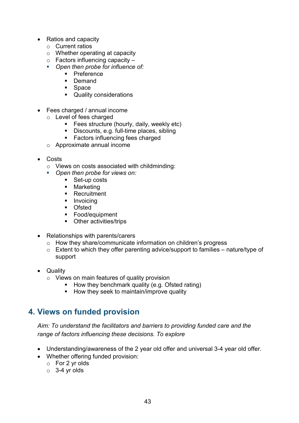- Ratios and capacity
	- o Current ratios
	- o Whether operating at capacity
	- $\circ$  Factors influencing capacity –
	- *Open then probe for influence of:*
		- **Preference**
		- **Demand**
		- **Space**
		- Quality considerations
- Fees charged / annual income
	- $\circ$  Level of fees charged
		- **Fees structure (hourly, daily, weekly etc)**
		- Discounts, e.g. full-time places, sibling
		- **Factors influencing fees charged**
	- o Approximate annual income
- Costs
	- o Views on costs associated with childminding:
		- *Open then probe for views on:*
			- Set-up costs
			- Marketing
			- Recruitment
			- **Invoicing**
			- **Demography**
			- Food/equipment
			- Other activities/trips
- Relationships with parents/carers
	- o How they share/communicate information on children's progress
	- $\circ$  Extent to which they offer parenting advice/support to families nature/type of support
- Quality
	- o Views on main features of quality provision
		- $\blacksquare$  How they benchmark quality (e.g. Ofsted rating)
		- How they seek to maintain/improve quality

## <span id="page-42-0"></span>**4. Views on funded provision**

*Aim: To understand the facilitators and barriers to providing funded care and the range of factors influencing these decisions. To explore* 

- Understanding/awareness of the 2 year old offer and universal 3-4 year old offer.
- Whether offering funded provision:
	- o For 2 yr olds
	- o 3-4 yr olds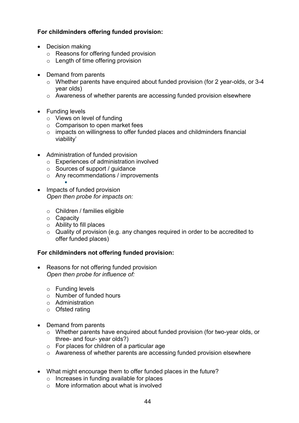## **For childminders offering funded provision:**

- Decision making
	- o Reasons for offering funded provision
	- $\circ$  Length of time offering provision
- Demand from parents
	- o Whether parents have enquired about funded provision (for 2 year-olds, or 3-4 year olds)
	- o Awareness of whether parents are accessing funded provision elsewhere
- Funding levels
	- o Views on level of funding
	- o Comparison to open market fees
	- o impacts on willingness to offer funded places and childminders financial viability'
- Administration of funded provision
	- o Experiences of administration involved
	- o Sources of support / guidance
	- o Any recommendations / improvements
- E • Impacts of funded provision *Open then probe for impacts on:*
	- o Children / families eligible
	- o Capacity
	- o Ability to fill places
	- o Quality of provision (e.g. any changes required in order to be accredited to offer funded places)

#### **For childminders not offering funded provision:**

- Reasons for not offering funded provision *Open then probe for influence of:*
	- o Funding levels
	- o Number of funded hours
	- o Administration
	- o Ofsted rating
- Demand from parents
	- o Whether parents have enquired about funded provision (for two-year olds, or three- and four- year olds?)
	- $\circ$  For places for children of a particular age
	- o Awareness of whether parents are accessing funded provision elsewhere
- What might encourage them to offer funded places in the future?
	- o Increases in funding available for places
	- o More information about what is involved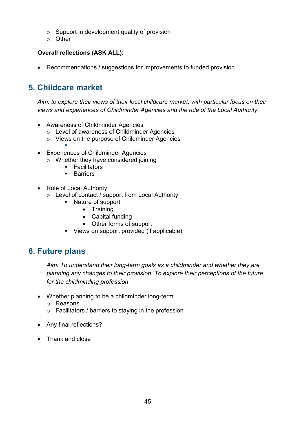- $\circ$  Support in development quality of provision
- o Other

## **Overall reflections (ASK ALL):**

• Recommendations / suggestions for improvements to funded provision

# <span id="page-44-0"></span>**5. Childcare market**

*Aim: to explore their views of their local childcare market, with particular focus on their views and experiences of Childminder Agencies and the role of the Local Authority.*

- Awareness of Childminder Agencies
	- o Level of awareness of Childminder Agencies
	- o Views on the purpose of Childminder Agencies
- E • Experiences of Childminder Agencies
	- o Whether they have considered joining
		- **Facilitators**
		- **Barriers**
- Role of Local Authority
	- o Level of contact / support from Local Authority
		- Nature of support
			- Training
			- Capital funding
			- Other forms of support
		- Views on support provided (if applicable)

## <span id="page-44-1"></span>**6. Future plans**

*Aim: To understand their long-term goals as a childminder and whether they are planning any changes to their provision. To explore their perceptions of the future for the childminding profession*

- Whether planning to be a childminder long-term
	- o Reasons
	- o Facilitators / barriers to staying in the profession
- Any final reflections?
- Thank and close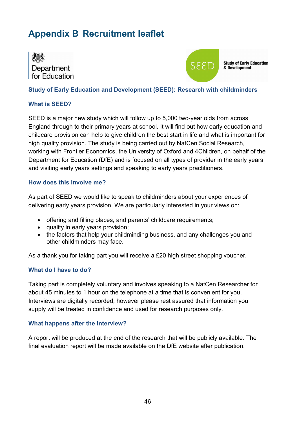# <span id="page-45-0"></span>**Appendix B Recruitment leaflet**





**Study of Early Education** & Development

#### **Study of Early Education and Development (SEED): Research with childminders**

#### **What is SEED?**

SEED is a major new study which will follow up to 5,000 two-year olds from across England through to their primary years at school. It will find out how early education and childcare provision can help to give children the best start in life and what is important for high quality provision. The study is being carried out by NatCen Social Research, working with Frontier Economics, the University of Oxford and 4Children, on behalf of the Department for Education (DfE) and is focused on all types of provider in the early years and visiting early years settings and speaking to early years practitioners.

#### **How does this involve me?**

As part of SEED we would like to speak to childminders about your experiences of delivering early years provision. We are particularly interested in your views on:

- offering and filling places, and parents' childcare requirements;
- quality in early years provision;
- the factors that help your childminding business, and any challenges you and other childminders may face.

As a thank you for taking part you will receive a £20 high street shopping voucher.

#### **What do I have to do?**

Taking part is completely voluntary and involves speaking to a NatCen Researcher for about 45 minutes to 1 hour on the telephone at a time that is convenient for you. Interviews are digitally recorded, however please rest assured that information you supply will be treated in confidence and used for research purposes only.

#### **What happens after the interview?**

A report will be produced at the end of the research that will be publicly available. The final evaluation report will be made available on the DfE website after publication.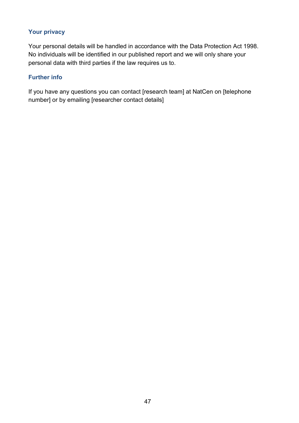## **Your privacy**

Your personal details will be handled in accordance with the Data Protection Act 1998. No individuals will be identified in our published report and we will only share your personal data with third parties if the law requires us to.

#### **Further info**

If you have any questions you can contact [research team] at NatCen on [telephone number] or by emailing [researcher contact details]